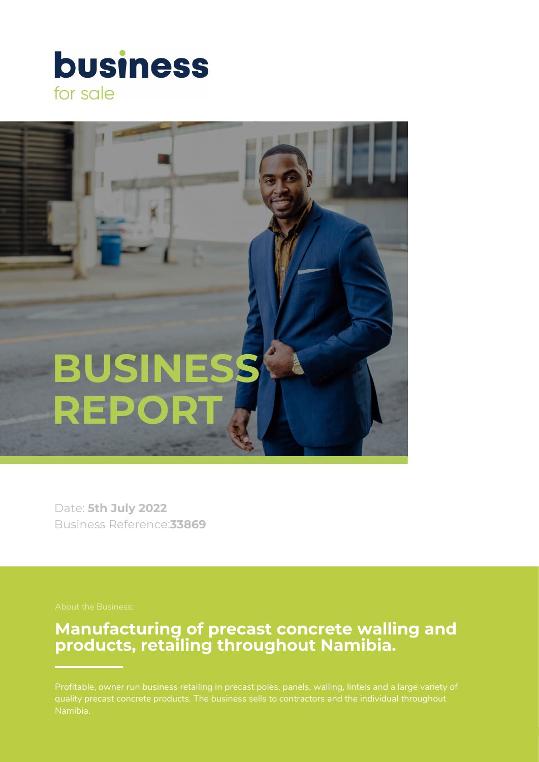# **business** for sale



Date: **5th July 2022** Business Reference:**33869**

# **Manufacturing of precast concrete walling and products, retailing throughout Namibia.**

Profitable, owner run business retailing in precast poles, panels, walling, lintels and a large variety of Namibia.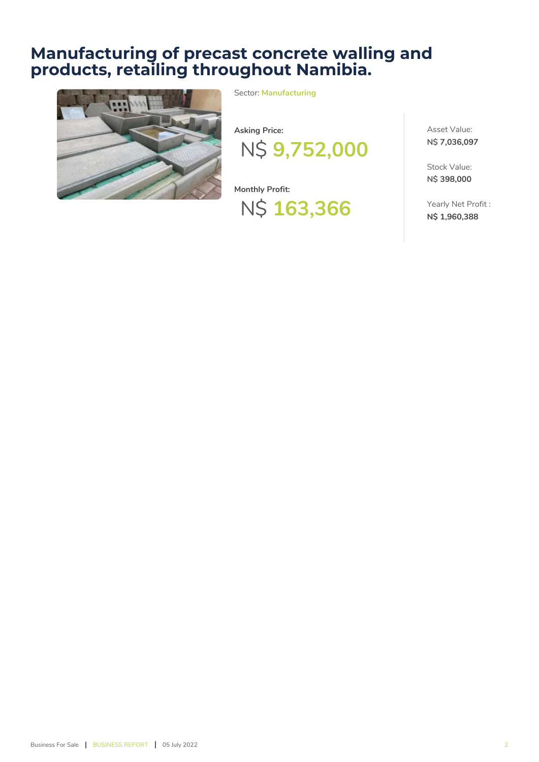# **Manufacturing of precast concrete walling and products, retailing throughout Namibia.**



Sector: **Manufacturing**

**Asking Price:** N\$ **9,752,000**

**Monthly Profit:** N\$ **163,366** Asset Value: **N\$ 7,036,097**

Stock Value: **N\$ 398,000**

Yearly Net Profit : **N\$ 1,960,388**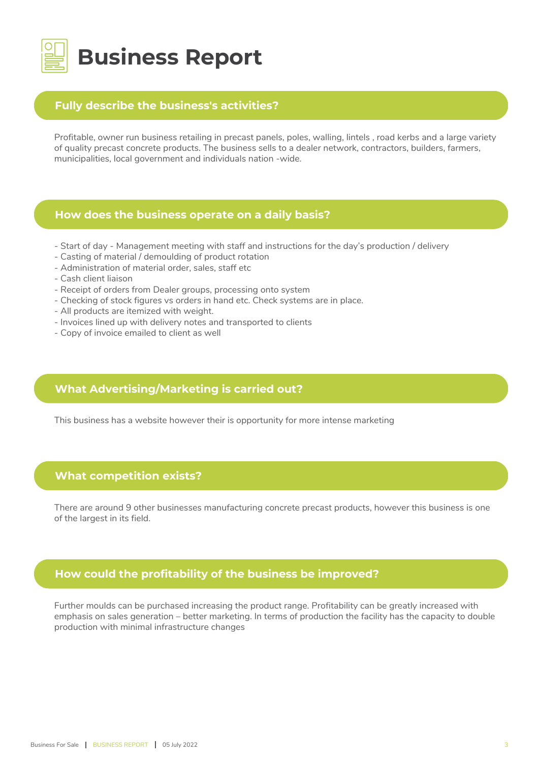

### **Fully describe the business's activities?**

Profitable, owner run business retailing in precast panels, poles, walling, lintels , road kerbs and a large variety of quality precast concrete products. The business sells to a dealer network, contractors, builders, farmers, municipalities, local government and individuals nation -wide.

#### **How does the business operate on a daily basis?**

- Start of day Management meeting with staff and instructions for the day's production / delivery
- Casting of material / demoulding of product rotation
- Administration of material order, sales, staff etc
- Cash client liaison
- Receipt of orders from Dealer groups, processing onto system
- Checking of stock figures vs orders in hand etc. Check systems are in place.
- All products are itemized with weight.
- Invoices lined up with delivery notes and transported to clients
- Copy of invoice emailed to client as well

# **What Advertising/Marketing is carried out?**

This business has a website however their is opportunity for more intense marketing

# **What competition exists?**

There are around 9 other businesses manufacturing concrete precast products, however this business is one of the largest in its field.

# **How could the profitability of the business be improved?**

Further moulds can be purchased increasing the product range. Profitability can be greatly increased with emphasis on sales generation – better marketing. In terms of production the facility has the capacity to double production with minimal infrastructure changes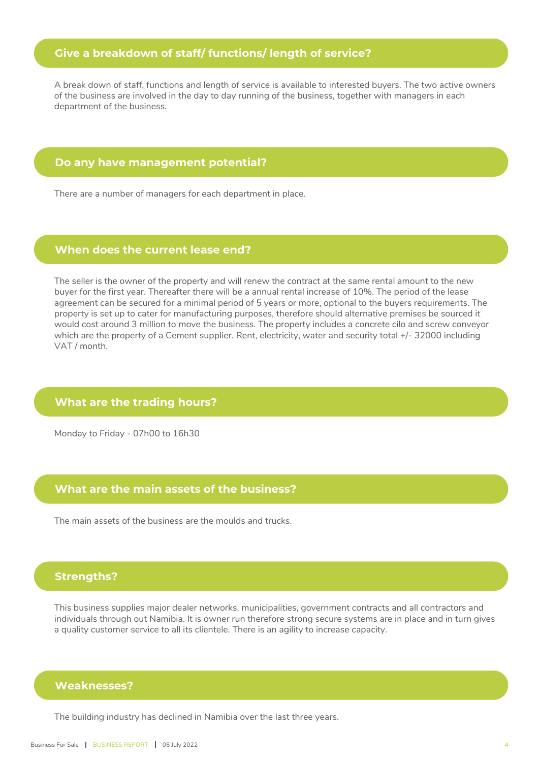# **Give a breakdown of staff/ functions/ length of service?**

A break down of staff, functions and length of service is available to interested buyers. The two active owners of the business are involved in the day to day running of the business, together with managers in each department of the business.

#### **Do any have management potential?**

There are a number of managers for each department in place.

#### **When does the current lease end?**

The seller is the owner of the property and will renew the contract at the same rental amount to the new buyer for the first year. Thereafter there will be a annual rental increase of 10%. The period of the lease agreement can be secured for a minimal period of 5 years or more, optional to the buyers requirements. The property is set up to cater for manufacturing purposes, therefore should alternative premises be sourced it would cost around 3 million to move the business. The property includes a concrete cilo and screw conveyor which are the property of a Cement supplier. Rent, electricity, water and security total +/- 32000 including VAT / month.

#### **What are the trading hours?**

Monday to Friday - 07h00 to 16h30

#### **What are the main assets of the business?**

The main assets of the business are the moulds and trucks.

#### **Strengths?**

This business supplies major dealer networks, municipalities, government contracts and all contractors and individuals through out Namibia. It is owner run therefore strong secure systems are in place and in turn gives a quality customer service to all its clientele. There is an agility to increase capacity.

### **Weaknesses?**

The building industry has declined in Namibia over the last three years.